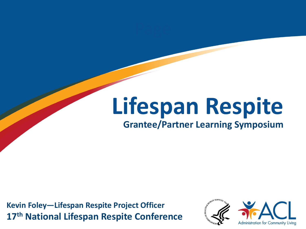# **Lifespan Respite**

#### **Grantee/Partner Learning Symposium**

**17th National Lifespan Respite Conference Kevin Foley—Lifespan Respite Project Officer**

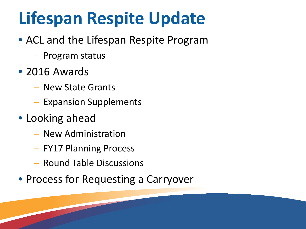### **Lifespan Respite Update**

- ACL and the Lifespan Respite Program
	- Program status
- 2016 Awards
	- New State Grants
	- Expansion Supplements
- Looking ahead
	- New Administration
	- FY17 Planning Process
	- Round Table Discussions
- Process for Requesting a Carryover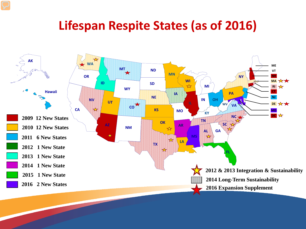### **Lifespan Respite States (as of 2016)**

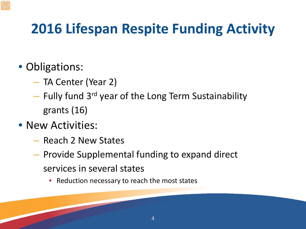### **2016 Lifespan Respite Funding Activity**

#### • Obligations:

- TA Center (Year 2)
- $-$  Fully fund 3<sup>rd</sup> year of the Long Term Sustainability grants (16)
- New Activities:
	- Reach 2 New States
	- Provide Supplemental funding to expand direct services in several states
		- Reduction necessary to reach the most states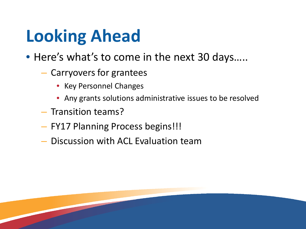# **Looking Ahead**

- Here's what's to come in the next 30 days.....
	- Carryovers for grantees
		- Key Personnel Changes
		- Any grants solutions administrative issues to be resolved
	- Transition teams?
	- FY17 Planning Process begins!!!
	- Discussion with ACL Evaluation team

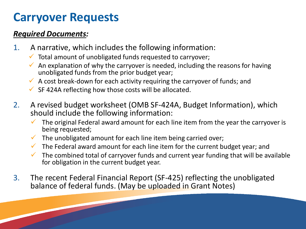### **Carryover Requests**

#### *Required Documents:*

- 1. A narrative, which includes the following information:
	- $\checkmark$  Total amount of unobligated funds requested to carryover;
	- $\checkmark$  An explanation of why the carryover is needed, including the reasons for having unobligated funds from the prior budget year;
	- $\checkmark$  A cost break-down for each activity requiring the carryover of funds; and
	- $\checkmark$  SF 424A reflecting how those costs will be allocated.
- 2. A revised budget worksheet (OMB SF-424A, Budget Information), which should include the following information:
	- The original Federal award amount for each line item from the year the carryover is being requested;
	- The unobligated amount for each line item being carried over;
	- $\checkmark$  The Federal award amount for each line item for the current budget year; and
	- $\checkmark$  The combined total of carryover funds and current year funding that will be available for obligation in the current budget year.
- 3. The recent Federal Financial Report (SF-425) reflecting the unobligated balance of federal funds. (May be uploaded in Grant Notes)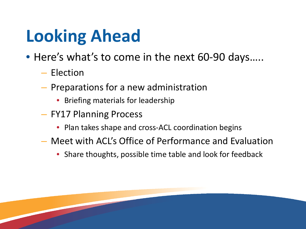# **Looking Ahead**

- Here's what's to come in the next 60-90 days.....
	- Election
	- Preparations for a new administration
		- Briefing materials for leadership
	- FY17 Planning Process
		- Plan takes shape and cross-ACL coordination begins
	- Meet with ACL's Office of Performance and Evaluation
		- Share thoughts, possible time table and look for feedback

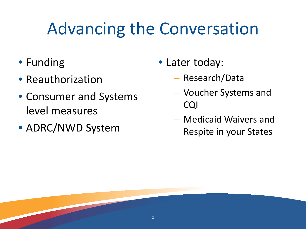### Advancing the Conversation

- Funding
- Reauthorization
- Consumer and Systems level measures
- ADRC/NWD System
- Later today:
	- Research/Data
	- Voucher Systems and CQI
	- Medicaid Waivers and Respite in your States